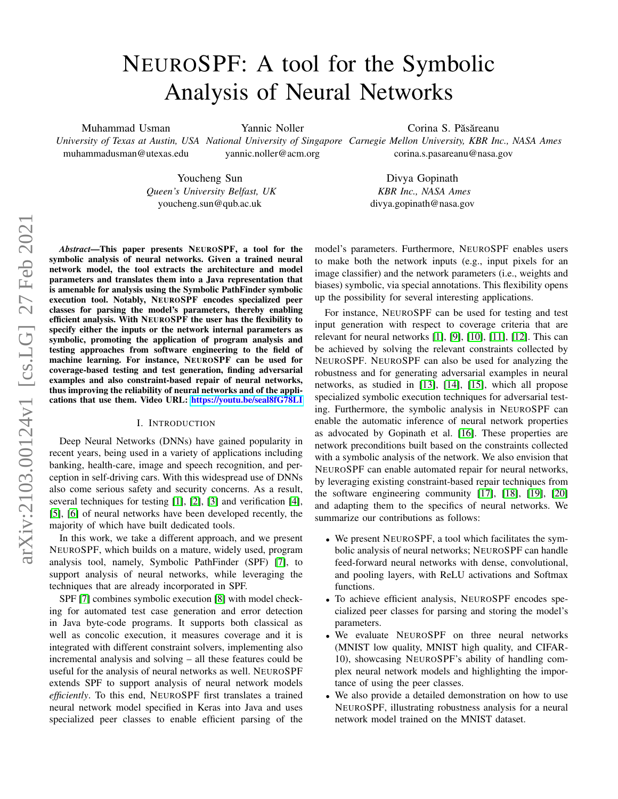# NEUROSPF: A tool for the Symbolic Analysis of Neural Networks

Muhammad Usman

Yannic Noller

muhammadusman@utexas.edu

yannic.noller@acm.org

*University of Texas at Austin, USA National University of Singapore Carnegie Mellon University, KBR Inc., NASA Ames* Corina S. Păsăreanu corina.s.pasareanu@nasa.gov

Youcheng Sun *Queen's University Belfast, UK* youcheng.sun@qub.ac.uk

Divya Gopinath *KBR Inc., NASA Ames* divya.gopinath@nasa.gov

*Abstract*—This paper presents NEUROSPF, a tool for the symbolic analysis of neural networks. Given a trained neural network model, the tool extracts the architecture and model parameters and translates them into a Java representation that is amenable for analysis using the Symbolic PathFinder symbolic execution tool. Notably, NEUROSPF encodes specialized peer classes for parsing the model's parameters, thereby enabling efficient analysis. With NEUROSPF the user has the flexibility to specify either the inputs or the network internal parameters as symbolic, promoting the application of program analysis and testing approaches from software engineering to the field of machine learning. For instance, NEUROSPF can be used for coverage-based testing and test generation, finding adversarial examples and also constraint-based repair of neural networks, thus improving the reliability of neural networks and of the applications that use them. Video URL: <https://youtu.be/seal8fG78LI>

## I. INTRODUCTION

Deep Neural Networks (DNNs) have gained popularity in recent years, being used in a variety of applications including banking, health-care, image and speech recognition, and perception in self-driving cars. With this widespread use of DNNs also come serious safety and security concerns. As a result, several techniques for testing [\[1\]](#page-3-0), [\[2\]](#page-3-1), [\[3\]](#page-3-2) and verification [\[4\]](#page-3-3), [\[5\]](#page-3-4), [\[6\]](#page-3-5) of neural networks have been developed recently, the majority of which have built dedicated tools.

In this work, we take a different approach, and we present NEUROSPF, which builds on a mature, widely used, program analysis tool, namely, Symbolic PathFinder (SPF) [\[7\]](#page-3-6), to support analysis of neural networks, while leveraging the techniques that are already incorporated in SPF.

SPF [\[7\]](#page-3-6) combines symbolic execution [\[8\]](#page-3-7) with model checking for automated test case generation and error detection in Java byte-code programs. It supports both classical as well as concolic execution, it measures coverage and it is integrated with different constraint solvers, implementing also incremental analysis and solving – all these features could be useful for the analysis of neural networks as well. NEUROSPF extends SPF to support analysis of neural network models *efficiently*. To this end, NEUROSPF first translates a trained neural network model specified in Keras into Java and uses specialized peer classes to enable efficient parsing of the model's parameters. Furthermore, NEUROSPF enables users to make both the network inputs (e.g., input pixels for an image classifier) and the network parameters (i.e., weights and biases) symbolic, via special annotations. This flexibility opens up the possibility for several interesting applications.

For instance, NEUROSPF can be used for testing and test input generation with respect to coverage criteria that are relevant for neural networks [\[1\]](#page-3-0), [\[9\]](#page-3-8), [\[10\]](#page-3-9), [\[11\]](#page-3-10), [\[12\]](#page-3-11). This can be achieved by solving the relevant constraints collected by NEUROSPF. NEUROSPF can also be used for analyzing the robustness and for generating adversarial examples in neural networks, as studied in [\[13\]](#page-3-12), [\[14\]](#page-3-13), [\[15\]](#page-3-14), which all propose specialized symbolic execution techniques for adversarial testing. Furthermore, the symbolic analysis in NEUROSPF can enable the automatic inference of neural network properties as advocated by Gopinath et al. [\[16\]](#page-3-15). These properties are network preconditions built based on the constraints collected with a symbolic analysis of the network. We also envision that NEUROSPF can enable automated repair for neural networks, by leveraging existing constraint-based repair techniques from the software engineering community [\[17\]](#page-3-16), [\[18\]](#page-3-17), [\[19\]](#page-3-18), [\[20\]](#page-3-19) and adapting them to the specifics of neural networks. We summarize our contributions as follows:

- We present NEUROSPF, a tool which facilitates the symbolic analysis of neural networks; NEUROSPF can handle feed-forward neural networks with dense, convolutional, and pooling layers, with ReLU activations and Softmax functions.
- To achieve efficient analysis, NEUROSPF encodes specialized peer classes for parsing and storing the model's parameters.
- We evaluate NEUROSPF on three neural networks (MNIST low quality, MNIST high quality, and CIFAR-10), showcasing NEUROSPF's ability of handling complex neural network models and highlighting the importance of using the peer classes.
- We also provide a detailed demonstration on how to use NEUROSPF, illustrating robustness analysis for a neural network model trained on the MNIST dataset.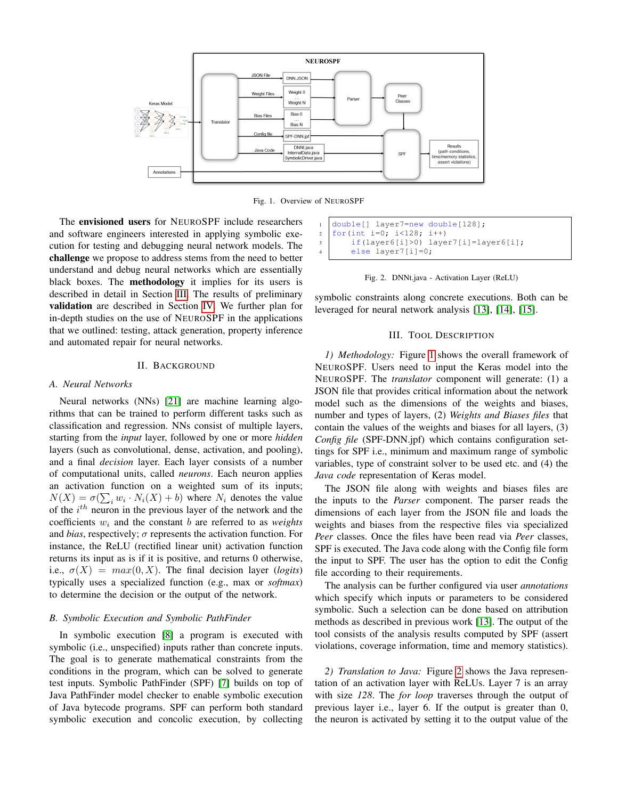

<span id="page-1-1"></span>Fig. 1. Overview of NEUROSPF

The envisioned users for NEUROSPF include researchers and software engineers interested in applying symbolic execution for testing and debugging neural network models. The challenge we propose to address stems from the need to better understand and debug neural networks which are essentially black boxes. The methodology it implies for its users is described in detail in Section [III.](#page-1-0) The results of preliminary validation are described in Section [IV.](#page-2-0) We further plan for in-depth studies on the use of NEUROSPF in the applications that we outlined: testing, attack generation, property inference and automated repair for neural networks.

# II. BACKGROUND

## *A. Neural Networks*

Neural networks (NNs) [\[21\]](#page-3-20) are machine learning algorithms that can be trained to perform different tasks such as classification and regression. NNs consist of multiple layers, starting from the *input* layer, followed by one or more *hidden* layers (such as convolutional, dense, activation, and pooling), and a final *decision* layer. Each layer consists of a number of computational units, called *neurons*. Each neuron applies an activation function on a weighted sum of its inputs;  $N(X) = \sigma(\sum_i w_i \cdot N_i(X) + b)$  where  $N_i$  denotes the value of the  $i^{th}$  neuron in the previous layer of the network and the coefficients w<sup>i</sup> and the constant b are referred to as *weights* and *bias*, respectively;  $\sigma$  represents the activation function. For instance, the ReLU (rectified linear unit) activation function returns its input as is if it is positive, and returns 0 otherwise, i.e.,  $\sigma(X) = max(0, X)$ . The final decision layer (*logits*) typically uses a specialized function (e.g., max or *softmax*) to determine the decision or the output of the network.

## *B. Symbolic Execution and Symbolic PathFinder*

In symbolic execution [\[8\]](#page-3-7) a program is executed with symbolic (i.e., unspecified) inputs rather than concrete inputs. The goal is to generate mathematical constraints from the conditions in the program, which can be solved to generate test inputs. Symbolic PathFinder (SPF) [\[7\]](#page-3-6) builds on top of Java PathFinder model checker to enable symbolic execution of Java bytecode programs. SPF can perform both standard symbolic execution and concolic execution, by collecting

|                | $\vert$   double [] layer7=new double [128];                           |  |
|----------------|------------------------------------------------------------------------|--|
|                | 2   for (int i=0; i<128; i++)                                          |  |
|                | $\text{if}(\text{layer6}[i] > 0) \text{layer7}[i] = \text{layer6}[i];$ |  |
| $4 \quad \Box$ | else layer7 $[i]=0$ ;                                                  |  |

<span id="page-1-2"></span>

symbolic constraints along concrete executions. Both can be leveraged for neural network analysis [\[13\]](#page-3-12), [\[14\]](#page-3-13), [\[15\]](#page-3-14).

## III. TOOL DESCRIPTION

<span id="page-1-0"></span>*1) Methodology:* Figure [1](#page-1-1) shows the overall framework of NEUROSPF. Users need to input the Keras model into the NEUROSPF. The *translator* component will generate: (1) a JSON file that provides critical information about the network model such as the dimensions of the weights and biases, number and types of layers, (2) *Weights and Biases files* that contain the values of the weights and biases for all layers, (3) *Config file* (SPF-DNN.jpf) which contains configuration settings for SPF i.e., minimum and maximum range of symbolic variables, type of constraint solver to be used etc. and (4) the *Java code* representation of Keras model.

The JSON file along with weights and biases files are the inputs to the *Parser* component. The parser reads the dimensions of each layer from the JSON file and loads the weights and biases from the respective files via specialized *Peer* classes. Once the files have been read via *Peer* classes, SPF is executed. The Java code along with the Config file form the input to SPF. The user has the option to edit the Config file according to their requirements.

The analysis can be further configured via user *annotations* which specify which inputs or parameters to be considered symbolic. Such a selection can be done based on attribution methods as described in previous work [\[13\]](#page-3-12). The output of the tool consists of the analysis results computed by SPF (assert violations, coverage information, time and memory statistics).

*2) Translation to Java:* Figure [2](#page-1-2) shows the Java representation of an activation layer with ReLUs. Layer 7 is an array with size *128*. The *for loop* traverses through the output of previous layer i.e., layer 6. If the output is greater than 0, the neuron is activated by setting it to the output value of the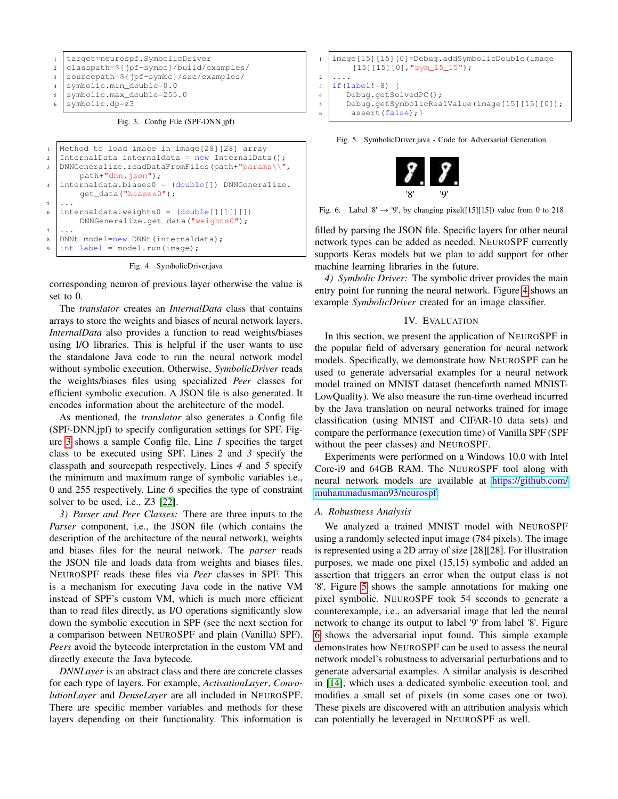

<span id="page-2-1"></span>Fig. 3. Config File (SPF-DNN.jpf)

```
1 Method to load image in image[28][28] array
2 InternalData internaldata = new InternalData();
3 DNNGeneralize.readDataFromFiles(path+"params\\",
        path+"dnn.json");
\frac{1}{4} internaldata.biases0 = (double[]) DNNGeneralize.
        get_data("biases0");
5 ...
6 \text{ internaldata.}weights0 = (\text{double}[][][][]])DNNGeneralize.get_data("weights0");
7 ...
8 DNNt model=new DNNt(internaldata);
9 \text{ int label} = \text{model.run}(\text{image});
```
<span id="page-2-2"></span>Fig. 4. SymbolicDriver.java

corresponding neuron of previous layer otherwise the value is set to 0.

The *translator* creates an *InternalData* class that contains arrays to store the weights and biases of neural network layers. *InternalData* also provides a function to read weights/biases using I/O libraries. This is helpful if the user wants to use the standalone Java code to run the neural network model without symbolic execution. Otherwise, *SymbolicDriver* reads the weights/biases files using specialized *Peer* classes for efficient symbolic execution. A JSON file is also generated. It encodes information about the architecture of the model.

As mentioned, the *translator* also generates a Config file (SPF-DNN.jpf) to specify configuration settings for SPF. Figure [3](#page-2-1) shows a sample Config file. Line *1* specifies the target class to be executed using SPF. Lines *2* and *3* specify the classpath and sourcepath respectively. Lines *4* and *5* specify the minimum and maximum range of symbolic variables i.e., 0 and 255 respectively. Line *6* specifies the type of constraint solver to be used, i.e., Z3 [\[22\]](#page-3-21).

*3) Parser and Peer Classes:* There are three inputs to the *Parser* component, i.e., the JSON file (which contains the description of the architecture of the neural network), weights and biases files for the neural network. The *parser* reads the JSON file and loads data from weights and biases files. NEUROSPF reads these files via *Peer* classes in SPF. This is a mechanism for executing Java code in the native VM instead of SPF's custom VM, which is much more efficient than to read files directly, as I/O operations significantly slow down the symbolic execution in SPF (see the next section for a comparison between NEUROSPF and plain (Vanilla) SPF). *Peers* avoid the bytecode interpretation in the custom VM and directly execute the Java bytecode.

*DNNLayer* is an abstract class and there are concrete classes for each type of layers. For example, *ActivationLayer*, *ConvolutionLayer* and *DenseLayer* are all included in NEUROSPF. There are specific member variables and methods for these layers depending on their functionality. This information is



<span id="page-2-3"></span>Fig. 5. SymbolicDriver.java - Code for Adversarial Generation



Fig. 6. Label '8'  $\rightarrow$  '9', by changing pixel([15][15]) value from 0 to 218

<span id="page-2-4"></span>filled by parsing the JSON file. Specific layers for other neural network types can be added as needed. NEUROSPF currently supports Keras models but we plan to add support for other machine learning libraries in the future.

*4) Symbolic Driver:* The symbolic driver provides the main entry point for running the neural network. Figure [4](#page-2-2) shows an example *SymbolicDriver* created for an image classifier.

#### IV. EVALUATION

<span id="page-2-0"></span>In this section, we present the application of NEUROSPF in the popular field of adversary generation for neural network models. Specifically, we demonstrate how NEUROSPF can be used to generate adversarial examples for a neural network model trained on MNIST dataset (henceforth named MNIST-LowQuality). We also measure the run-time overhead incurred by the Java translation on neural networks trained for image classification (using MNIST and CIFAR-10 data sets) and compare the performance (execution time) of Vanilla SPF (SPF without the peer classes) and NEUROSPF.

Experiments were performed on a Windows 10.0 with Intel Core-i9 and 64GB RAM. The NEUROSPF tool along with neural network models are available at [https://github.com/](https://github.com/muhammadusman93/neurospf) [muhammadusman93/neurospf.](https://github.com/muhammadusman93/neurospf)

#### *A. Robustness Analysis*

We analyzed a trained MNIST model with NEUROSPF using a randomly selected input image (784 pixels). The image is represented using a 2D array of size [28][28]. For illustration purposes, we made one pixel (15,15) symbolic and added an assertion that triggers an error when the output class is not '8'. Figure [5](#page-2-3) shows the sample annotations for making one pixel symbolic. NEUROSPF took 54 seconds to generate a counterexample, i.e., an adversarial image that led the neural network to change its output to label '9' from label '8'. Figure [6](#page-2-4) shows the adversarial input found. This simple example demonstrates how NEUROSPF can be used to assess the neural network model's robustness to adversarial perturbations and to generate adversarial examples. A similar analysis is described in [\[14\]](#page-3-13), which uses a dedicated symbolic execution tool, and modifies a small set of pixels (in some cases one or two). These pixels are discovered with an attribution analysis which can potentially be leveraged in NEUROSPF as well.